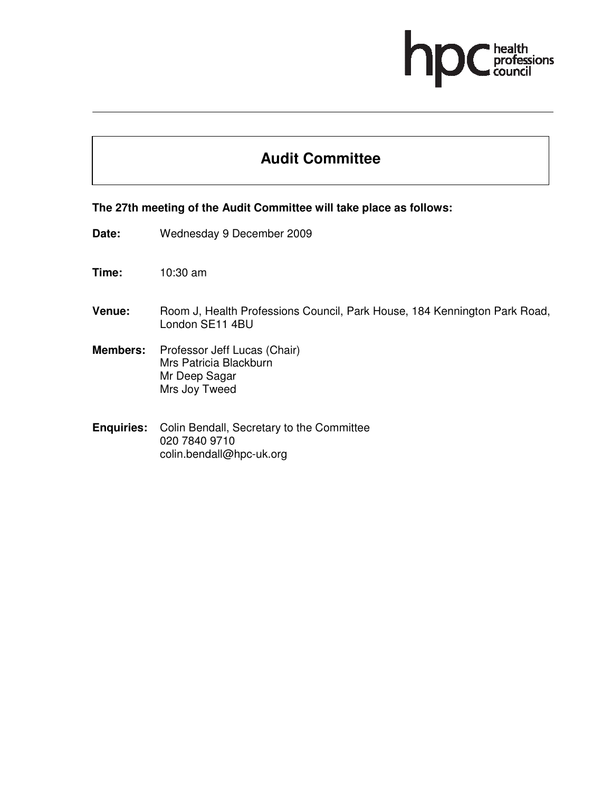# professions

# **Audit Committee**

#### **The 27th meeting of the Audit Committee will take place as follows:**

- **Date:** Wednesday 9 December 2009
- **Time:** 10:30 am
- **Venue:** Room J, Health Professions Council, Park House, 184 Kennington Park Road, London SE11 4BU
- **Members:** Professor Jeff Lucas (Chair) Mrs Patricia Blackburn Mr Deep Sagar Mrs Joy Tweed
- **Enquiries:** Colin Bendall, Secretary to the Committee 020 7840 9710 colin.bendall@hpc-uk.org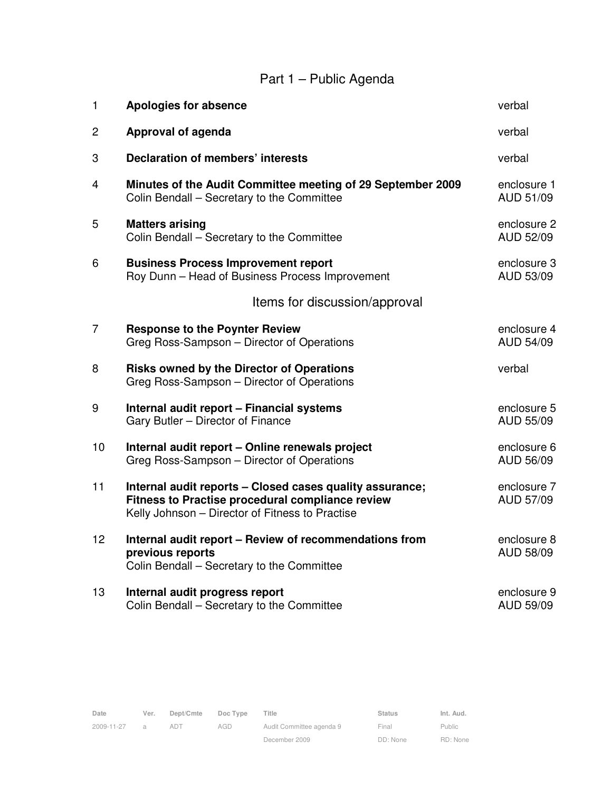# Part 1 – Public Agenda

| 1              | <b>Apologies for absence</b>                                                                                                                                    | verbal                   |
|----------------|-----------------------------------------------------------------------------------------------------------------------------------------------------------------|--------------------------|
| 2              | Approval of agenda                                                                                                                                              | verbal                   |
| 3              | <b>Declaration of members' interests</b>                                                                                                                        | verbal                   |
| 4              | Minutes of the Audit Committee meeting of 29 September 2009<br>Colin Bendall - Secretary to the Committee                                                       | enclosure 1<br>AUD 51/09 |
| 5              | <b>Matters arising</b><br>Colin Bendall - Secretary to the Committee                                                                                            | enclosure 2<br>AUD 52/09 |
| 6              | <b>Business Process Improvement report</b><br>Roy Dunn - Head of Business Process Improvement                                                                   | enclosure 3<br>AUD 53/09 |
|                | Items for discussion/approval                                                                                                                                   |                          |
| $\overline{7}$ | <b>Response to the Poynter Review</b><br>Greg Ross-Sampson - Director of Operations                                                                             | enclosure 4<br>AUD 54/09 |
| 8              | <b>Risks owned by the Director of Operations</b><br>Greg Ross-Sampson - Director of Operations                                                                  | verbal                   |
| 9              | Internal audit report - Financial systems<br>Gary Butler - Director of Finance                                                                                  | enclosure 5<br>AUD 55/09 |
| 10             | Internal audit report - Online renewals project<br>Greg Ross-Sampson - Director of Operations                                                                   | enclosure 6<br>AUD 56/09 |
| 11             | Internal audit reports - Closed cases quality assurance;<br>Fitness to Practise procedural compliance review<br>Kelly Johnson - Director of Fitness to Practise | enclosure 7<br>AUD 57/09 |
| 12             | Internal audit report - Review of recommendations from<br>previous reports<br>Colin Bendall - Secretary to the Committee                                        | enclosure 8<br>AUD 58/09 |
| 13             | Internal audit progress report<br>Colin Bendall - Secretary to the Committee                                                                                    | enclosure 9<br>AUD 59/09 |

Public RD: None

Final DD: None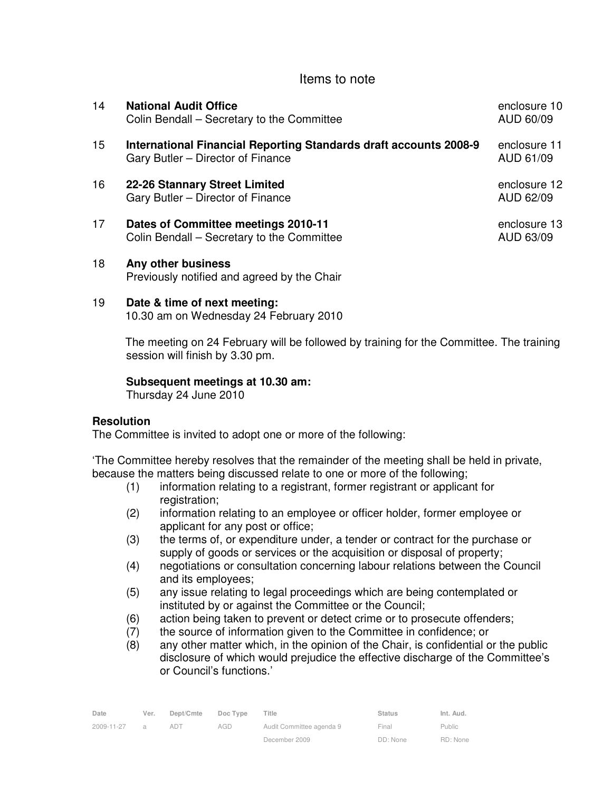### Items to note

| 14  | <b>National Audit Office</b><br>Colin Bendall – Secretary to the Committee                                    | enclosure 10<br>AUD 60/09 |
|-----|---------------------------------------------------------------------------------------------------------------|---------------------------|
| 15  | <b>International Financial Reporting Standards draft accounts 2008-9</b><br>Gary Butler – Director of Finance | enclosure 11<br>AUD 61/09 |
| 16  | 22-26 Stannary Street Limited<br>Gary Butler – Director of Finance                                            | enclosure 12<br>AUD 62/09 |
| 17  | Dates of Committee meetings 2010-11<br>Colin Bendall – Secretary to the Committee                             | enclosure 13<br>AUD 63/09 |
| 1 R | Any other hueingee                                                                                            |                           |

18 **Any other business** Previously notified and agreed by the Chair

#### 19 **Date & time of next meeting:**

10.30 am on Wednesday 24 February 2010

The meeting on 24 February will be followed by training for the Committee. The training session will finish by 3.30 pm.

#### **Subsequent meetings at 10.30 am:**

Thursday 24 June 2010

#### **Resolution**

The Committee is invited to adopt one or more of the following:

'The Committee hereby resolves that the remainder of the meeting shall be held in private, because the matters being discussed relate to one or more of the following;

- (1) information relating to a registrant, former registrant or applicant for registration;
- (2) information relating to an employee or officer holder, former employee or applicant for any post or office;
- (3) the terms of, or expenditure under, a tender or contract for the purchase or supply of goods or services or the acquisition or disposal of property;
- (4) negotiations or consultation concerning labour relations between the Council and its employees;
- (5) any issue relating to legal proceedings which are being contemplated or instituted by or against the Committee or the Council;
- (6) action being taken to prevent or detect crime or to prosecute offenders;
- (7) the source of information given to the Committee in confidence; or
- (8) any other matter which, in the opinion of the Chair, is confidential or the public disclosure of which would prejudice the effective discharge of the Committee's or Council's functions.'

| Date       | Ver. | Dept/Cmte | Doc Type | ⊤itle                    | <b>Status</b> | Int. Aud. |
|------------|------|-----------|----------|--------------------------|---------------|-----------|
| 2009-11-27 |      | ad i      | AGD      | Audit Committee agenda 9 | Final         | Public    |
|            |      |           |          | December 2009            | DD: None      | RD: None  |